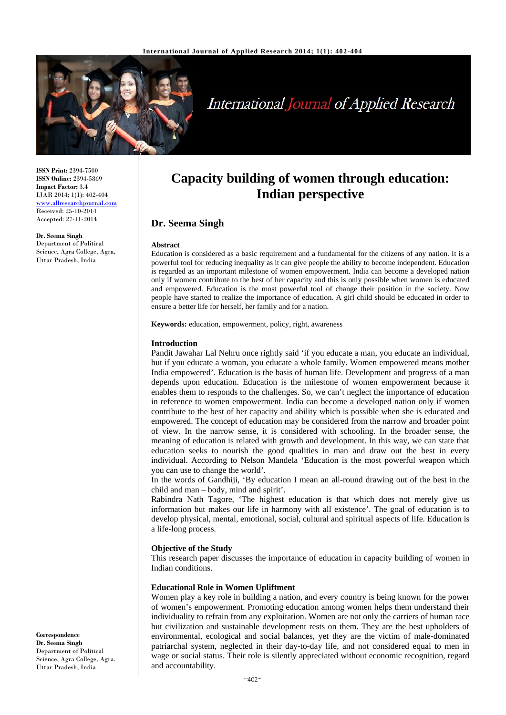

# **International Journal of Applied Research**

**ISSN Print:** 2394-7500 **ISSN Online:** 2394-5869 **Impact Factor:** 3.4 IJAR 2014; 1(1): 402-404 www.allresearchjournal.com Received: 25-10-2014 Accepted: 27-11-2014

**Dr. Seema Singh** Department of Political Science, Agra College, Agra, Uttar Pradesh, India

## **Capacity building of women through education: Indian perspective**

### **Dr. Seema Singh**

#### **Abstract**

Education is considered as a basic requirement and a fundamental for the citizens of any nation. It is a powerful tool for reducing inequality as it can give people the ability to become independent. Education is regarded as an important milestone of women empowerment. India can become a developed nation only if women contribute to the best of her capacity and this is only possible when women is educated and empowered. Education is the most powerful tool of change their position in the society. Now people have started to realize the importance of education. A girl child should be educated in order to ensure a better life for herself, her family and for a nation.

**Keywords:** education, empowerment, policy, right, awareness

#### **Introduction**

Pandit Jawahar Lal Nehru once rightly said 'if you educate a man, you educate an individual, but if you educate a woman, you educate a whole family. Women empowered means mother India empowered'. Education is the basis of human life. Development and progress of a man depends upon education. Education is the milestone of women empowerment because it enables them to responds to the challenges. So, we can't neglect the importance of education in reference to women empowerment. India can become a developed nation only if women contribute to the best of her capacity and ability which is possible when she is educated and empowered. The concept of education may be considered from the narrow and broader point of view. In the narrow sense, it is considered with schooling. In the broader sense, the meaning of education is related with growth and development. In this way, we can state that education seeks to nourish the good qualities in man and draw out the best in every individual. According to Nelson Mandela 'Education is the most powerful weapon which you can use to change the world'.

In the words of Gandhiji, 'By education I mean an all-round drawing out of the best in the child and man – body, mind and spirit'.

Rabindra Nath Tagore, 'The highest education is that which does not merely give us information but makes our life in harmony with all existence'. The goal of education is to develop physical, mental, emotional, social, cultural and spiritual aspects of life. Education is a life-long process.

#### **Objective of the Study**

This research paper discusses the importance of education in capacity building of women in Indian conditions.

#### **Educational Role in Women Upliftment**

Women play a key role in building a nation, and every country is being known for the power of women's empowerment. Promoting education among women helps them understand their individuality to refrain from any exploitation. Women are not only the carriers of human race but civilization and sustainable development rests on them. They are the best upholders of environmental, ecological and social balances, yet they are the victim of male-dominated patriarchal system, neglected in their day-to-day life, and not considered equal to men in wage or social status. Their role is silently appreciated without economic recognition, regard and accountability.

**Correspondence Dr. Seema Singh** Department of Political Science, Agra College, Agra, Uttar Pradesh, India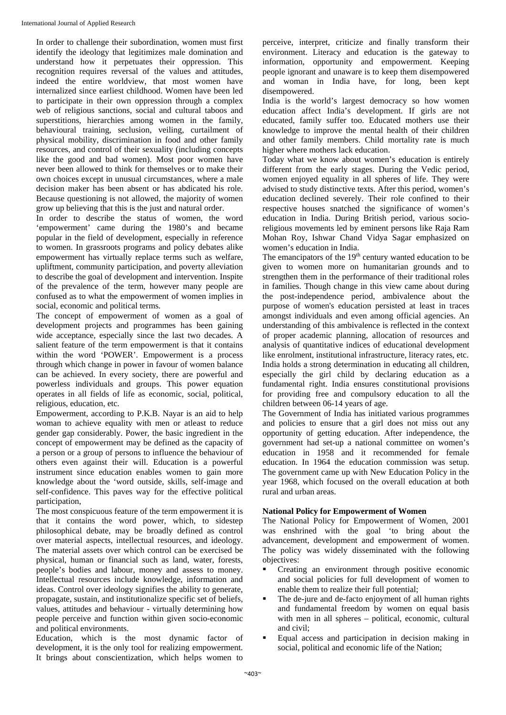In order to challenge their subordination, women must first identify the ideology that legitimizes male domination and understand how it perpetuates their oppression. This recognition requires reversal of the values and attitudes, indeed the entire worldview, that most women have internalized since earliest childhood. Women have been led to participate in their own oppression through a complex web of religious sanctions, social and cultural taboos and superstitions, hierarchies among women in the family, behavioural training, seclusion, veiling, curtailment of physical mobility, discrimination in food and other family resources, and control of their sexuality (including concepts like the good and bad women). Most poor women have never been allowed to think for themselves or to make their own choices except in unusual circumstances, where a male decision maker has been absent or has abdicated his role. Because questioning is not allowed, the majority of women grow up believing that this is the just and natural order.

In order to describe the status of women, the word 'empowerment' came during the 1980's and became popular in the field of development, especially in reference to women. In grassroots programs and policy debates alike empowerment has virtually replace terms such as welfare, upliftment, community participation, and poverty alleviation to describe the goal of development and intervention. Inspite of the prevalence of the term, however many people are confused as to what the empowerment of women implies in social, economic and political terms.

The concept of empowerment of women as a goal of development projects and programmes has been gaining wide acceptance, especially since the last two decades. A salient feature of the term empowerment is that it contains within the word 'POWER'. Empowerment is a process through which change in power in favour of women balance can be achieved. In every society, there are powerful and powerless individuals and groups. This power equation operates in all fields of life as economic, social, political, religious, education, etc.

Empowerment, according to P.K.B. Nayar is an aid to help woman to achieve equality with men or atleast to reduce gender gap considerably. Power, the basic ingredient in the concept of empowerment may be defined as the capacity of a person or a group of persons to influence the behaviour of others even against their will. Education is a powerful instrument since education enables women to gain more knowledge about the 'word outside, skills, self-image and self-confidence. This paves way for the effective political participation,

The most conspicuous feature of the term empowerment it is that it contains the word power, which, to sidestep philosophical debate, may be broadly defined as control over material aspects, intellectual resources, and ideology. The material assets over which control can be exercised be physical, human or financial such as land, water, forests, people's bodies and labour, money and assess to money. Intellectual resources include knowledge, information and ideas. Control over ideology signifies the ability to generate, propagate, sustain, and institutionalize specific set of beliefs, values, attitudes and behaviour - virtually determining how people perceive and function within given socio-economic and political environments.

Education, which is the most dynamic factor of development, it is the only tool for realizing empowerment. It brings about conscientization, which helps women to

perceive, interpret, criticize and finally transform their environment. Literacy and education is the gateway to information, opportunity and empowerment. Keeping people ignorant and unaware is to keep them disempowered and woman in India have, for long, been kept disempowered.

India is the world's largest democracy so how women education affect India's development. If girls are not educated, family suffer too. Educated mothers use their knowledge to improve the mental health of their children and other family members. Child mortality rate is much higher where mothers lack education.

Today what we know about women's education is entirely different from the early stages. During the Vedic period, women enjoyed equality in all spheres of life. They were advised to study distinctive texts. After this period, women's education declined severely. Their role confined to their respective houses snatched the significance of women's education in India. During British period, various socioreligious movements led by eminent persons like Raja Ram Mohan Roy, Ishwar Chand Vidya Sagar emphasized on women's education in India.

The emancipators of the  $19<sup>th</sup>$  century wanted education to be given to women more on humanitarian grounds and to strengthen them in the performance of their traditional roles in families. Though change in this view came about during the post-independence period, ambivalence about the purpose of women's education persisted at least in traces amongst individuals and even among official agencies. An understanding of this ambivalence is reflected in the context of proper academic planning, allocation of resources and analysis of quantitative indices of educational development like enrolment, institutional infrastructure, literacy rates, etc. India holds a strong determination in educating all children, especially the girl child by declaring education as a fundamental right. India ensures constitutional provisions for providing free and compulsory education to all the children between 06-14 years of age.

The Government of India has initiated various programmes and policies to ensure that a girl does not miss out any opportunity of getting education. After independence, the government had set-up a national committee on women's education in 1958 and it recommended for female education. In 1964 the education commission was setup. The government came up with New Education Policy in the year 1968, which focused on the overall education at both rural and urban areas.

#### **National Policy for Empowerment of Women**

The National Policy for Empowerment of Women, 2001 was enshrined with the goal 'to bring about the advancement, development and empowerment of women. The policy was widely disseminated with the following objectives:

- Creating an environment through positive economic and social policies for full development of women to enable them to realize their full potential;
- The de-jure and de-facto enjoyment of all human rights and fundamental freedom by women on equal basis with men in all spheres – political, economic, cultural and civil;
- Equal access and participation in decision making in social, political and economic life of the Nation;